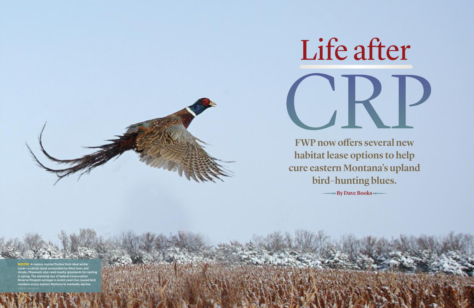

# **FWP now offers several new habitatlease options to help cure eastern Montana's upland bird–hunting blues.**

**By Dave Books**

**A mature rooster flushes from ideal winter** cover—a cattail stand surrounded by thick trees and shrubs. Pheasants also need nearby grasslands for nesting in spring. The alarming loss of federal Conservation Reserve Program acreage in recent years has caused bird numbers across eastern Montana to markedly decline.

PHOTO BY GARY KRAMER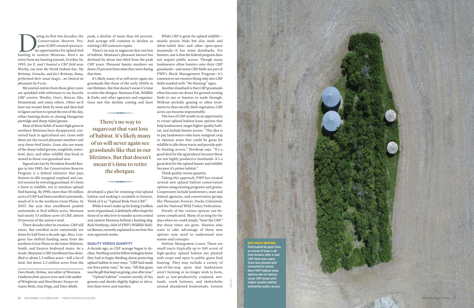

uring its first two decades, the Conservation Reserve Program (CRP) created spectacular opportunities for upland bird uring its first two decades, the<br>Conservation Reserve Pro-<br>gram (CRP) created spectacu-<br>lar opportunities for upland bird<br>hunting in eastern Montana. Here's an entry from my hunting journal, October 16, 1993: Joe E. and I hunted a CRP field near Westby, out near the North Dakota line. My Brittany, Groucho, and Joe's Brittany, Rana, performed their usual magic…we limited on *p h e a s a n ts by 9 a . m .*

My journal entries from those glory years are sprinkled with references to my favorite CRP coverts: Westby, Ona's, Boxcar, Silo, Homestead, and many others. Often we'd have our rooster limit by noon and then had to figure out how to spend the rest of the day, either hunting ducks or chasing Hungarian partridge and sharp-tailed grouse.

Most of those fields of waist-high grass in northern Montana have disappeared, converted back to agricultural use. Gone with them are the record pheasant numbers and easy three-bird limits. Gone also are many of the sharp-tailed grouse, songbirds, waterfowl, deer, and other wildlife that lived or nested in those vast grassland seas.

Signed into law by President Ronald Reagan in late 1985, the Conservation Reserve Program is a federal initiative that pays farmers to idle marginal cropland and control erosion by restoring grassland. It's been a boon to wildlife, not to mention upland bird hunting. By 1990, more than 30 million acres of CRP had been enrolled nationwide, much of it in the northern Great Plains. In 2007, the year that enrollment peaked nationwide at 36.8 million acres, Montana had nearly 3.5 million acres of CRP, almost 10 percent of the nation's total.

Three decades after its creation, CRP still exists. But enrolled acres nationwide are down by half from a decade ago. Also, Congress has shifted funding away from the northern Great Plains to the lower Midwest, South, and Eastern Seaboard states. As a result, Montana's CRP enrollment has dwindled to about 1.3 million acres—still a lot of land, but down 2.2 million acres from the

Dave Books, Helena, was editor of Montana Outdoors from 1979 to 2001 and is the author of Wingbeats and Heartbeats: Essays on Game Birds, Gun Dogs, and Days Afield.

peak, a decline of more than 60 percent. And acreage will continue to decline as existing CRP contracts expire.

There's no way to sugarcoat that vast loss of habitat. Montana's pheasant harvest has declined by about one-third from the peak CRP years. Pheasant hunter numbers are down 25 percent from what they were during that time.

It's likely many of us will never again see grasslands like those of the early 2000s in our lifetimes. But that doesn't mean it's time to retire the shotgun. Montana Fish, Wildlife & Parks and other agencies and organizations saw this decline coming and have

**There's no way to** sugarcoat that vast loss **of** habitat. It's likely many **of** us will never again see grasslands like that in our lifetimes. But that doesn't **mean** it's time to retire **the shotgun.** 

developed a plan for retaining vital upland habitat and making it available to hunters. Think of it as "Upland Birds Post-CRP."

While it won't make up for losing 2 million acres of grassland, it definitely offers hope for those of us who love to wander across central and eastern Montana behind a hunting dog. Rick Northrup, chief of FWP's Wildlife Habitat Bureau, recently explained to me how this new approach works.

### **QUALITY VERSUS QUANTITY**

A decade ago, as CRP acreage began to decline, Northrup and his fellow biologists knew they had to begin thinking about protecting upland habitat in new ways. "CRP had made our lives pretty easy," he says. "All that grass was the gift that kept on giving, year after year."

" U p l a n d h a b i t a t " c o n s i s t s m o s t l y o f d r y grasses and shrubs slightly higher in elevation than rivers and marshes.

While CRP is great for upland wildlifemainly prairie birds but also mule and white-tailed deer and other open-space mammals—it has some drawbacks. For hunters, one is that the federal program does not require public access. Though many landowners allow hunters onto their CRP grasslands—and many CRP fields are part of FWP's Block Management Program—it's common to see roosters flying only into CRP fields marked with "No Hunting" signs.

Another drawback is that CRP grasslands often become too dense for ground-nesting birds to use or hunters to wade through. Without periodic grazing or other treatments to clear out old, thick vegetation, CRP acres can become impenetrable.

The loss of CRP results in an opportunity to create upland habitat lease options that help landowners, target higher quality habitat, and include hunter access. "The idea is to pay landowners who have marginal crop or riparian areas that could be great for wildlife to idle those tracts and provide public hunting access," Northrup says. "It's a good deal for the ag producer because those are not highly productive farmlands. It's a good deal for the upland hunter and wildlife because it's prime habitat."

Think quality versus quantity.

Taking this approach, FWP has created several new upland habitat conservation options using existing programs and grants. Cooperators include landowners, state and federal agencies, and conservation groups like Pheasants Forever, Ducks Unlimited, and the National Wild Turkey Federation.

Details of the various options can become complicated. Many of us long for the days when we could simply "hunt the CRP." But those times are gone. Hunters who want to take advantage of these new options now need to understand new names and concepts:

*Habitat Management Leases:* These are small tracts (typically up to 160 acres) of high-quality upland habitat not planted with crops and open to public game bird hunting. They may include a variety of out-of-the-way spots that landowners aren't farming or no longer wish to farm, such as low-productivity cropland, wetlands, creek bottoms, and shelterbelts around abandoned homesteads. Lessees

### **N O M U C H N E S I N G**

Punctuated by grain bins, an island of trees is all that remains after a vast CRP field near Lewistown was plowed and converted to wheat. New FWP habitat lease options aim to replace some CRP losses with higher-quality habitat and better public access.

DAVID DALY